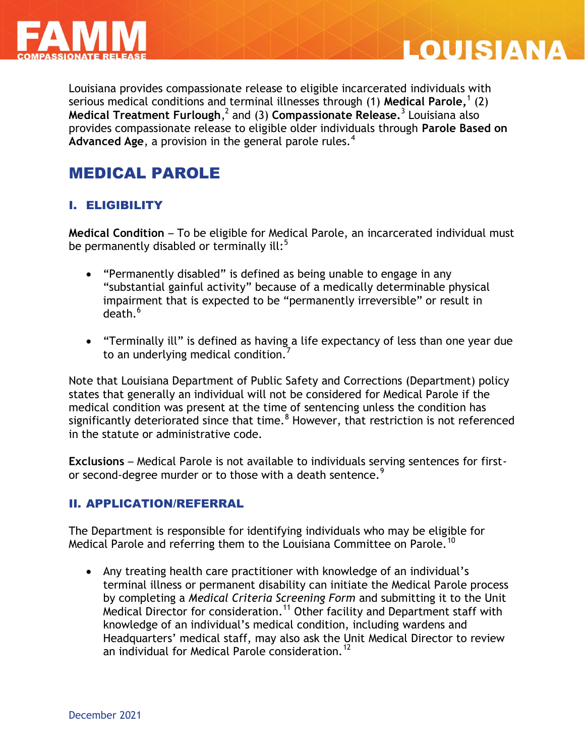



Louisiana provides compassionate release to eligible incarcerated individuals with serious medical conditions and terminal illnesses through (1) **Medical Parole,** 1 (2) **Medical Treatment Furlough**, 2 and (3) **Compassionate Release.**<sup>3</sup> Louisiana also provides compassionate release to eligible older individuals through **Parole Based on**  Advanced Age, a provision in the general parole rules.<sup>4</sup>

## MEDICAL PAROLE

#### I. ELIGIBILITY

**Medical Condition** – To be eligible for Medical Parole, an incarcerated individual must be permanently disabled or terminally ill: $5$ 

- "Permanently disabled" is defined as being unable to engage in any "substantial gainful activity" because of a medically determinable physical impairment that is expected to be "permanently irreversible" or result in  $de$ ath $6$
- "Terminally ill" is defined as having a life expectancy of less than one year due to an underlying medical condition.<sup>7</sup>

Note that Louisiana Department of Public Safety and Corrections (Department) policy states that generally an individual will not be considered for Medical Parole if the medical condition was present at the time of sentencing unless the condition has significantly deteriorated since that time. $8$  However, that restriction is not referenced in the statute or administrative code.

**Exclusions** – Medical Parole is not available to individuals serving sentences for firstor second-degree murder or to those with a death sentence.<sup>9</sup>

#### II. APPLICATION/REFERRAL

The Department is responsible for identifying individuals who may be eligible for Medical Parole and referring them to the Louisiana Committee on Parole.  $^{10}$ 

 Any treating health care practitioner with knowledge of an individual's terminal illness or permanent disability can initiate the Medical Parole process by completing a *Medical Criteria Screening Form* and submitting it to the Unit  $M$ edical Director for consideration.<sup>11</sup> Other facility and Department staff with knowledge of an individual's medical condition, including wardens and Headquarters' medical staff, may also ask the Unit Medical Director to review an individual for Medical Parole consideration.<sup>12</sup>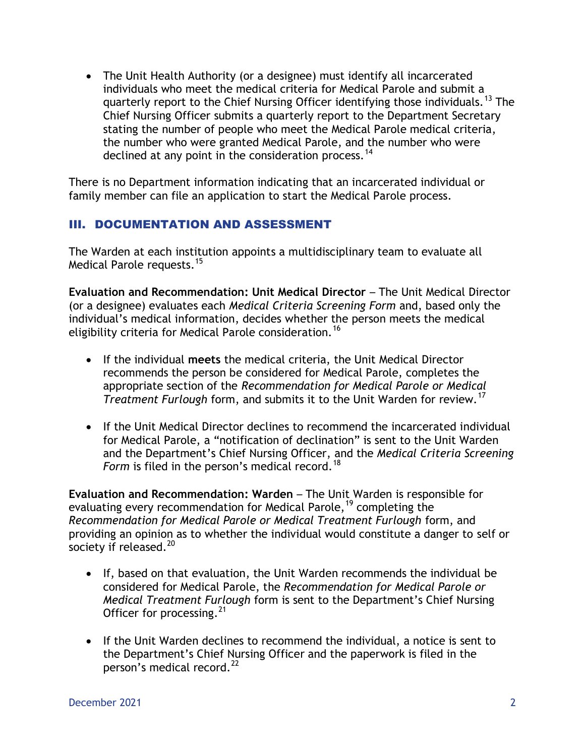The Unit Health Authority (or a designee) must identify all incarcerated individuals who meet the medical criteria for Medical Parole and submit a quarterly report to the Chief Nursing Officer identifying those individuals.<sup>13</sup> The Chief Nursing Officer submits a quarterly report to the Department Secretary stating the number of people who meet the Medical Parole medical criteria, the number who were granted Medical Parole, and the number who were declined at any point in the consideration process.<sup>14</sup>

There is no Department information indicating that an incarcerated individual or family member can file an application to start the Medical Parole process.

### III. DOCUMENTATION AND ASSESSMENT

The Warden at each institution appoints a multidisciplinary team to evaluate all Medical Parole requests.<sup>15</sup>

**Evaluation and Recommendation: Unit Medical Director** – The Unit Medical Director (or a designee) evaluates each *Medical Criteria Screening Form* and, based only the individual's medical information, decides whether the person meets the medical eligibility criteria for Medical Parole consideration.<sup>16</sup>

- If the individual **meets** the medical criteria, the Unit Medical Director recommends the person be considered for Medical Parole, completes the appropriate section of the *Recommendation for Medical Parole or Medical Treatment Furlough* form, and submits it to the Unit Warden for review.<sup>17</sup>
- If the Unit Medical Director declines to recommend the incarcerated individual for Medical Parole, a "notification of declination" is sent to the Unit Warden and the Department's Chief Nursing Officer, and the *Medical Criteria Screening Form* is filed in the person's medical record.<sup>18</sup>

**Evaluation and Recommendation: Warden** – The Unit Warden is responsible for evaluating every recommendation for Medical Parole,<sup>19</sup> completing the *Recommendation for Medical Parole or Medical Treatment Furlough* form, and providing an opinion as to whether the individual would constitute a danger to self or society if released.<sup>20</sup>

- If, based on that evaluation, the Unit Warden recommends the individual be considered for Medical Parole, the *Recommendation for Medical Parole or Medical Treatment Furlough* form is sent to the Department's Chief Nursing Officer for processing. $^{21}$
- If the Unit Warden declines to recommend the individual, a notice is sent to the Department's Chief Nursing Officer and the paperwork is filed in the person's medical record.<sup>22</sup>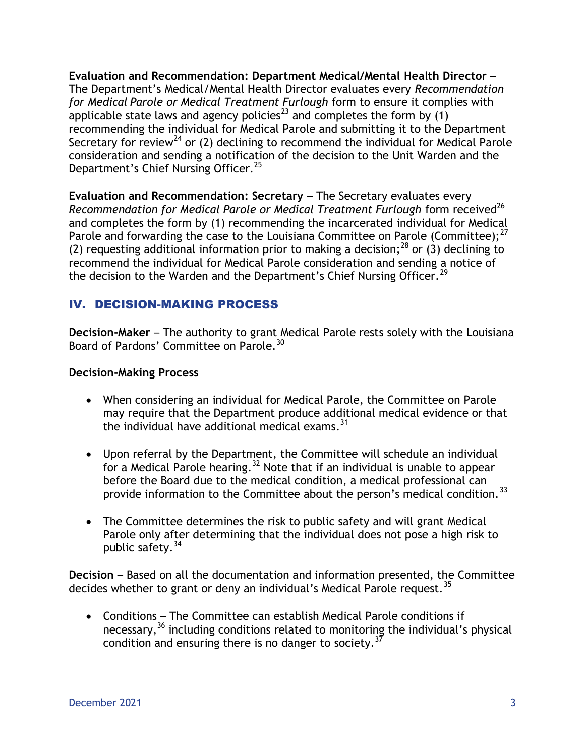**Evaluation and Recommendation: Department Medical/Mental Health Director** – The Department's Medical/Mental Health Director evaluates every *Recommendation for Medical Parole or Medical Treatment Furlough* form to ensure it complies with applicable state laws and agency policies<sup>23</sup> and completes the form by  $(1)$ recommending the individual for Medical Parole and submitting it to the Department Secretary for review<sup>24</sup> or (2) declining to recommend the individual for Medical Parole consideration and sending a notification of the decision to the Unit Warden and the Department's Chief Nursing Officer.<sup>25</sup>

**Evaluation and Recommendation: Secretary** – The Secretary evaluates every *Recommendation for Medical Parole or Medical Treatment Furlough form received*<sup>26</sup> and completes the form by (1) recommending the incarcerated individual for Medical Parole and forwarding the case to the Louisiana Committee on Parole (Committee); $^{27}$ (2) requesting additional information prior to making a decision;<sup>28</sup> or (3) declining to recommend the individual for Medical Parole consideration and sending a notice of the decision to the Warden and the Department's Chief Nursing Officer.<sup>29</sup>

#### IV. DECISION-MAKING PROCESS

**Decision-Maker** – The authority to grant Medical Parole rests solely with the Louisiana Board of Pardons' Committee on Parole.<sup>30</sup>

#### **Decision-Making Process**

- When considering an individual for Medical Parole, the Committee on Parole may require that the Department produce additional medical evidence or that the individual have additional medical exams. $31$
- Upon referral by the Department, the Committee will schedule an individual for a Medical Parole hearing.<sup>32</sup> Note that if an individual is unable to appear before the Board due to the medical condition, a medical professional can provide information to the Committee about the person's medical condition.<sup>33</sup>
- The Committee determines the risk to public safety and will grant Medical Parole only after determining that the individual does not pose a high risk to public safety.<sup>34</sup>

**Decision** – Based on all the documentation and information presented, the Committee decides whether to grant or deny an individual's Medical Parole request.<sup>35</sup>

 Conditions – The Committee can establish Medical Parole conditions if necessary,  $36$  including conditions related to monitoring the individual's physical condition and ensuring there is no danger to society.<sup>37</sup>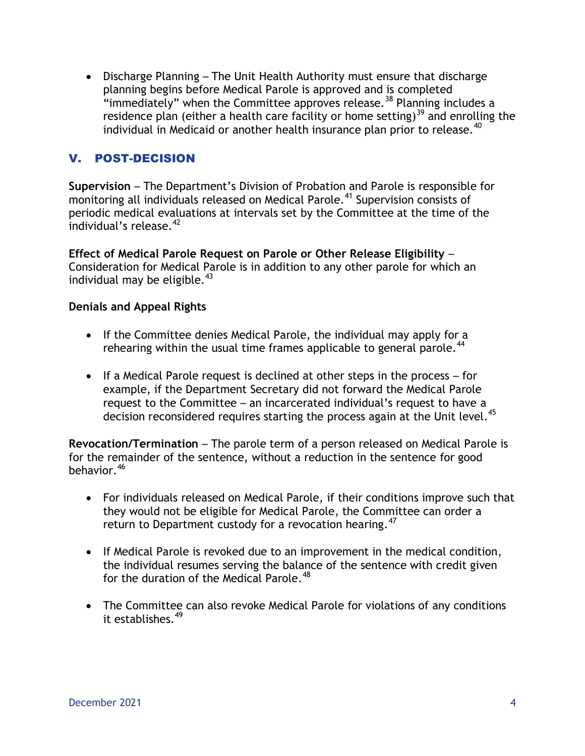Discharge Planning – The Unit Health Authority must ensure that discharge planning begins before Medical Parole is approved and is completed "immediately" when the Committee approves release.<sup>38</sup> Planning includes a residence plan (either a health care facility or home setting)<sup>39</sup> and enrolling the individual in Medicaid or another health insurance plan prior to release. $40$ 

#### V. POST-DECISION

**Supervision** – The Department's Division of Probation and Parole is responsible for monitoring all individuals released on Medical Parole.<sup>41</sup> Supervision consists of periodic medical evaluations at intervals set by the Committee at the time of the individual's release. $42$ 

**Effect of Medical Parole Request on Parole or Other Release Eligibility** – Consideration for Medical Parole is in addition to any other parole for which an individual may be eligible. $43$ 

#### **Denials and Appeal Rights**

- If the Committee denies Medical Parole, the individual may apply for a rehearing within the usual time frames applicable to general parole.<sup>44</sup>
- If a Medical Parole request is declined at other steps in the process for example, if the Department Secretary did not forward the Medical Parole request to the Committee – an incarcerated individual's request to have a decision reconsidered requires starting the process again at the Unit level.<sup>45</sup>

**Revocation/Termination** – The parole term of a person released on Medical Parole is for the remainder of the sentence, without a reduction in the sentence for good behavior.<sup>46</sup>

- For individuals released on Medical Parole, if their conditions improve such that they would not be eligible for Medical Parole, the Committee can order a return to Department custody for a revocation hearing.  $47$
- If Medical Parole is revoked due to an improvement in the medical condition, the individual resumes serving the balance of the sentence with credit given for the duration of the Medical Parole.<sup>48</sup>
- The Committee can also revoke Medical Parole for violations of any conditions it establishes.<sup>49</sup>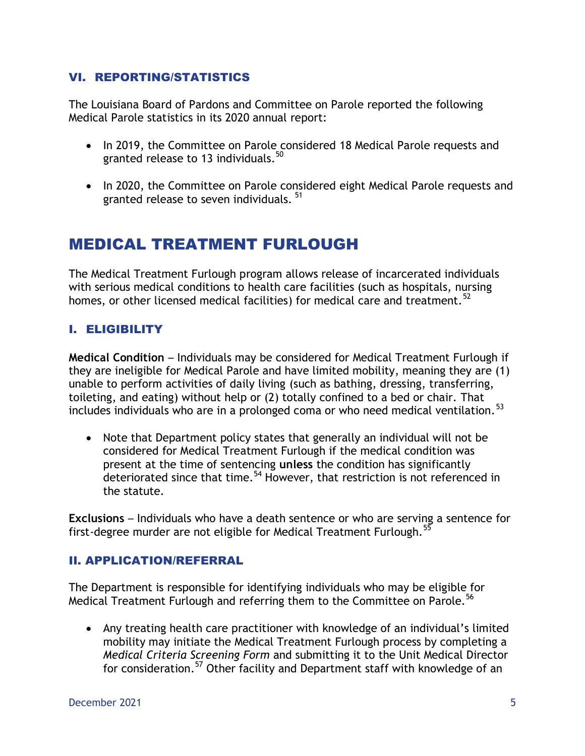#### VI. REPORTING/STATISTICS

The Louisiana Board of Pardons and Committee on Parole reported the following Medical Parole statistics in its 2020 annual report:

- In 2019, the Committee on Parole considered 18 Medical Parole requests and granted release to 13 individuals.<sup>50</sup>
- In 2020, the Committee on Parole considered eight Medical Parole requests and granted release to seven individuals.<sup>51</sup>

## MEDICAL TREATMENT FURLOUGH

The Medical Treatment Furlough program allows release of incarcerated individuals with serious medical conditions to health care facilities (such as hospitals, nursing homes, or other licensed medical facilities) for medical care and treatment.<sup>52</sup>

#### I. ELIGIBILITY

**Medical Condition** – Individuals may be considered for Medical Treatment Furlough if they are ineligible for Medical Parole and have limited mobility, meaning they are (1) unable to perform activities of daily living (such as bathing, dressing, transferring, toileting, and eating) without help or (2) totally confined to a bed or chair. That includes individuals who are in a prolonged coma or who need medical ventilation.<sup>53</sup>

 Note that Department policy states that generally an individual will not be considered for Medical Treatment Furlough if the medical condition was present at the time of sentencing **unless** the condition has significantly deteriorated since that time.<sup>54</sup> However, that restriction is not referenced in the statute.

**Exclusions** – Individuals who have a death sentence or who are serving a sentence for first-degree murder are not eligible for Medical Treatment Furlough.<sup>55</sup>

#### II. APPLICATION/REFERRAL

The Department is responsible for identifying individuals who may be eligible for Medical Treatment Furlough and referring them to the Committee on Parole.<sup>56</sup>

 Any treating health care practitioner with knowledge of an individual's limited mobility may initiate the Medical Treatment Furlough process by completing a *Medical Criteria Screening Form* and submitting it to the Unit Medical Director for consideration.<sup>57</sup> Other facility and Department staff with knowledge of an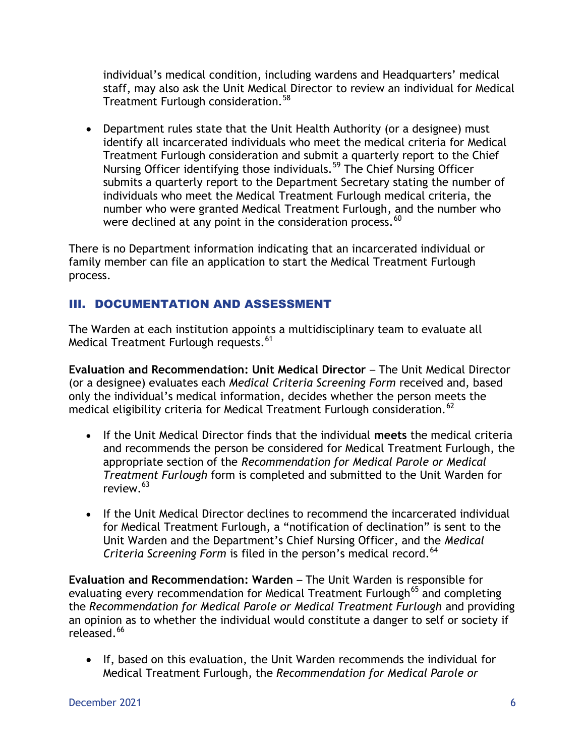individual's medical condition, including wardens and Headquarters' medical staff, may also ask the Unit Medical Director to review an individual for Medical Treatment Furlough consideration.<sup>58</sup>

 Department rules state that the Unit Health Authority (or a designee) must identify all incarcerated individuals who meet the medical criteria for Medical Treatment Furlough consideration and submit a quarterly report to the Chief Nursing Officer identifying those individuals.<sup>59</sup> The Chief Nursing Officer submits a quarterly report to the Department Secretary stating the number of individuals who meet the Medical Treatment Furlough medical criteria, the number who were granted Medical Treatment Furlough, and the number who were declined at any point in the consideration process.<sup>60</sup>

There is no Department information indicating that an incarcerated individual or family member can file an application to start the Medical Treatment Furlough process.

### III. DOCUMENTATION AND ASSESSMENT

The Warden at each institution appoints a multidisciplinary team to evaluate all Medical Treatment Furlough requests.<sup>61</sup>

**Evaluation and Recommendation: Unit Medical Director** – The Unit Medical Director (or a designee) evaluates each *Medical Criteria Screening Form* received and, based only the individual's medical information, decides whether the person meets the medical eligibility criteria for Medical Treatment Furlough consideration.<sup>62</sup>

- If the Unit Medical Director finds that the individual **meets** the medical criteria and recommends the person be considered for Medical Treatment Furlough, the appropriate section of the *Recommendation for Medical Parole or Medical Treatment Furlough* form is completed and submitted to the Unit Warden for review.<sup>63</sup>
- If the Unit Medical Director declines to recommend the incarcerated individual for Medical Treatment Furlough, a "notification of declination" is sent to the Unit Warden and the Department's Chief Nursing Officer, and the *Medical Criteria Screening Form* is filed in the person's medical record.<sup>64</sup>

**Evaluation and Recommendation: Warden** – The Unit Warden is responsible for evaluating every recommendation for Medical Treatment Furlough<sup>65</sup> and completing the *Recommendation for Medical Parole or Medical Treatment Furlough* and providing an opinion as to whether the individual would constitute a danger to self or society if released.<sup>66</sup>

 If, based on this evaluation, the Unit Warden recommends the individual for Medical Treatment Furlough, the *Recommendation for Medical Parole or*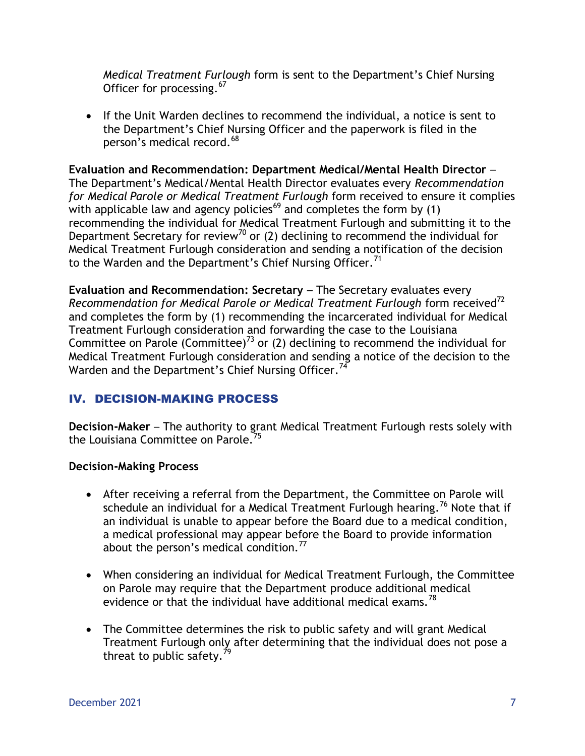*Medical Treatment Furlough* form is sent to the Department's Chief Nursing Officer for processing.<sup>67</sup>

• If the Unit Warden declines to recommend the individual, a notice is sent to the Department's Chief Nursing Officer and the paperwork is filed in the person's medical record.<sup>68</sup>

**Evaluation and Recommendation: Department Medical/Mental Health Director** – The Department's Medical/Mental Health Director evaluates every *Recommendation for Medical Parole or Medical Treatment Furlough* form received to ensure it complies with applicable law and agency policies<sup>69</sup> and completes the form by  $(1)$ recommending the individual for Medical Treatment Furlough and submitting it to the Department Secretary for review<sup>70</sup> or (2) declining to recommend the individual for Medical Treatment Furlough consideration and sending a notification of the decision to the Warden and the Department's Chief Nursing Officer.<sup>71</sup>

**Evaluation and Recommendation: Secretary** – The Secretary evaluates every *Recommendation for Medical Parole or Medical Treatment Furlough* form received<sup>72</sup> and completes the form by (1) recommending the incarcerated individual for Medical Treatment Furlough consideration and forwarding the case to the Louisiana Committee on Parole (Committee)<sup>73</sup> or (2) declining to recommend the individual for Medical Treatment Furlough consideration and sending a notice of the decision to the Warden and the Department's Chief Nursing Officer.<sup>74</sup>

### IV. DECISION-MAKING PROCESS

**Decision-Maker** – The authority to grant Medical Treatment Furlough rests solely with the Louisiana Committee on Parole.<sup>75</sup>

#### **Decision-Making Process**

- After receiving a referral from the Department, the Committee on Parole will schedule an individual for a Medical Treatment Furlough hearing.<sup>76</sup> Note that if an individual is unable to appear before the Board due to a medical condition, a medical professional may appear before the Board to provide information about the person's medical condition.<sup>77</sup>
- When considering an individual for Medical Treatment Furlough, the Committee on Parole may require that the Department produce additional medical evidence or that the individual have additional medical exams.<sup>78</sup>
- The Committee determines the risk to public safety and will grant Medical Treatment Furlough only after determining that the individual does not pose a threat to public safety.<sup>7</sup>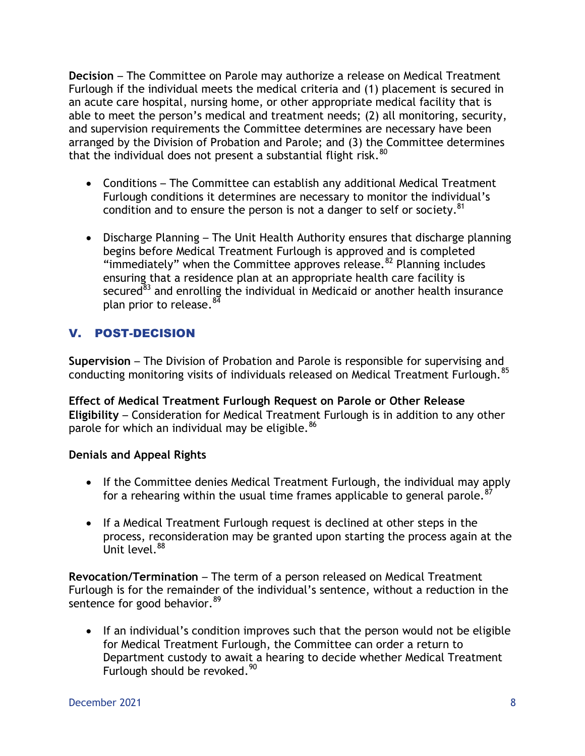**Decision** – The Committee on Parole may authorize a release on Medical Treatment Furlough if the individual meets the medical criteria and (1) placement is secured in an acute care hospital, nursing home, or other appropriate medical facility that is able to meet the person's medical and treatment needs; (2) all monitoring, security, and supervision requirements the Committee determines are necessary have been arranged by the Division of Probation and Parole; and (3) the Committee determines that the individual does not present a substantial flight risk. $^{80}$ 

- Conditions The Committee can establish any additional Medical Treatment Furlough conditions it determines are necessary to monitor the individual's condition and to ensure the person is not a danger to self or society.<sup>81</sup>
- Discharge Planning The Unit Health Authority ensures that discharge planning begins before Medical Treatment Furlough is approved and is completed "immediately" when the Committee approves release.<sup>82</sup> Planning includes ensuring that a residence plan at an appropriate health care facility is secured $^{\epsilon_{3}}$  and enrolling the individual in Medicaid or another health insurance plan prior to release.<sup>84</sup>

### V. POST-DECISION

**Supervision** – The Division of Probation and Parole is responsible for supervising and conducting monitoring visits of individuals released on Medical Treatment Furlough.<sup>85</sup>

**Effect of Medical Treatment Furlough Request on Parole or Other Release Eligibility** – Consideration for Medical Treatment Furlough is in addition to any other parole for which an individual may be eligible.<sup>86</sup>

#### **Denials and Appeal Rights**

- If the Committee denies Medical Treatment Furlough, the individual may apply for a rehearing within the usual time frames applicable to general parole.<sup>87</sup>
- If a Medical Treatment Furlough request is declined at other steps in the process, reconsideration may be granted upon starting the process again at the Unit level.<sup>88</sup>

**Revocation/Termination** – The term of a person released on Medical Treatment Furlough is for the remainder of the individual's sentence, without a reduction in the sentence for good behavior.<sup>89</sup>

• If an individual's condition improves such that the person would not be eligible for Medical Treatment Furlough, the Committee can order a return to Department custody to await a hearing to decide whether Medical Treatment Furlough should be revoked.<sup>90</sup>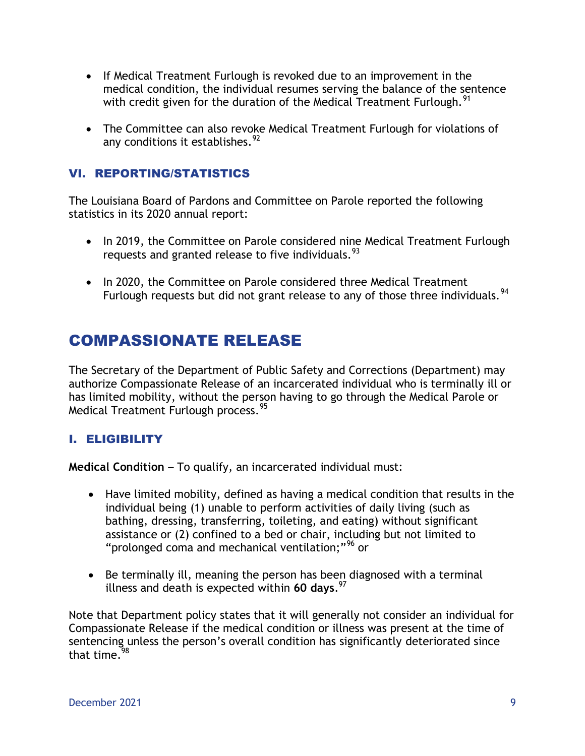- If Medical Treatment Furlough is revoked due to an improvement in the medical condition, the individual resumes serving the balance of the sentence with credit given for the duration of the Medical Treatment Furlough.  $91$
- The Committee can also revoke Medical Treatment Furlough for violations of any conditions it establishes.<sup>92</sup>

#### VI. REPORTING/STATISTICS

The Louisiana Board of Pardons and Committee on Parole reported the following statistics in its 2020 annual report:

- In 2019, the Committee on Parole considered nine Medical Treatment Furlough requests and granted release to five individuals.<sup>93</sup>
- In 2020, the Committee on Parole considered three Medical Treatment Furlough requests but did not grant release to any of those three individuals.<sup>94</sup>

## COMPASSIONATE RELEASE

The Secretary of the Department of Public Safety and Corrections (Department) may authorize Compassionate Release of an incarcerated individual who is terminally ill or has limited mobility, without the person having to go through the Medical Parole or Medical Treatment Furlough process. <sup>95</sup>

#### I. ELIGIBILITY

**Medical Condition** – To qualify, an incarcerated individual must:

- Have limited mobility, defined as having a medical condition that results in the individual being (1) unable to perform activities of daily living (such as bathing, dressing, transferring, toileting, and eating) without significant assistance or (2) confined to a bed or chair, including but not limited to "prolonged coma and mechanical ventilation;"<sup>96</sup> or
- Be terminally ill, meaning the person has been diagnosed with a terminal illness and death is expected within **60 days**. 97

Note that Department policy states that it will generally not consider an individual for Compassionate Release if the medical condition or illness was present at the time of sentencing unless the person's overall condition has significantly deteriorated since that time. $98$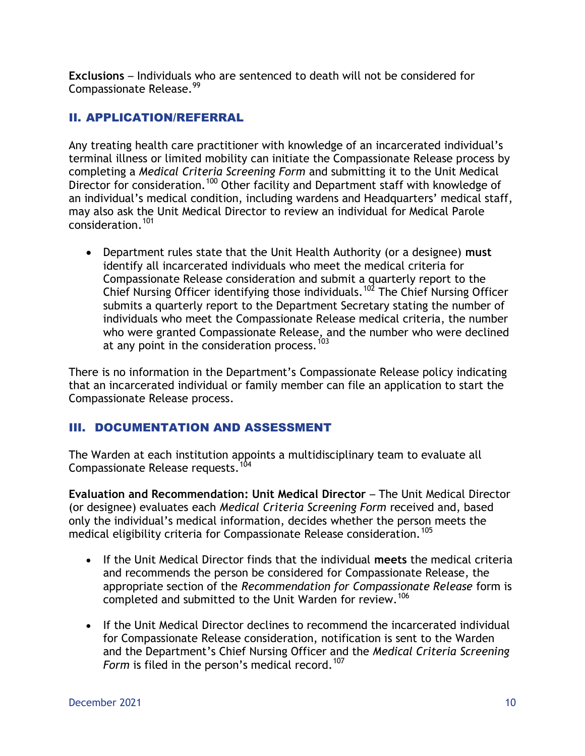**Exclusions** – Individuals who are sentenced to death will not be considered for Compassionate Release.<sup>99</sup>

#### II. APPLICATION/REFERRAL

Any treating health care practitioner with knowledge of an incarcerated individual's terminal illness or limited mobility can initiate the Compassionate Release process by completing a *Medical Criteria Screening Form* and submitting it to the Unit Medical Director for consideration.<sup>100</sup> Other facility and Department staff with knowledge of an individual's medical condition, including wardens and Headquarters' medical staff, may also ask the Unit Medical Director to review an individual for Medical Parole consideration.<sup>101</sup>

 Department rules state that the Unit Health Authority (or a designee) **must**  identify all incarcerated individuals who meet the medical criteria for Compassionate Release consideration and submit a quarterly report to the Chief Nursing Officer identifying those individuals.<sup>102</sup> The Chief Nursing Officer submits a quarterly report to the Department Secretary stating the number of individuals who meet the Compassionate Release medical criteria, the number who were granted Compassionate Release, and the number who were declined at any point in the consideration process.<sup>103</sup>

There is no information in the Department's Compassionate Release policy indicating that an incarcerated individual or family member can file an application to start the Compassionate Release process.

#### III. DOCUMENTATION AND ASSESSMENT

The Warden at each institution appoints a multidisciplinary team to evaluate all Compassionate Release requests.<sup>104</sup>

**Evaluation and Recommendation: Unit Medical Director** – The Unit Medical Director (or designee) evaluates each *Medical Criteria Screening Form* received and, based only the individual's medical information, decides whether the person meets the medical eligibility criteria for Compassionate Release consideration.<sup>105</sup>

- If the Unit Medical Director finds that the individual **meets** the medical criteria and recommends the person be considered for Compassionate Release, the appropriate section of the *Recommendation for Compassionate Release* form is completed and submitted to the Unit Warden for review.<sup>106</sup>
- If the Unit Medical Director declines to recommend the incarcerated individual for Compassionate Release consideration, notification is sent to the Warden and the Department's Chief Nursing Officer and the *Medical Criteria Screening Form* is filed in the person's medical record.<sup>107</sup>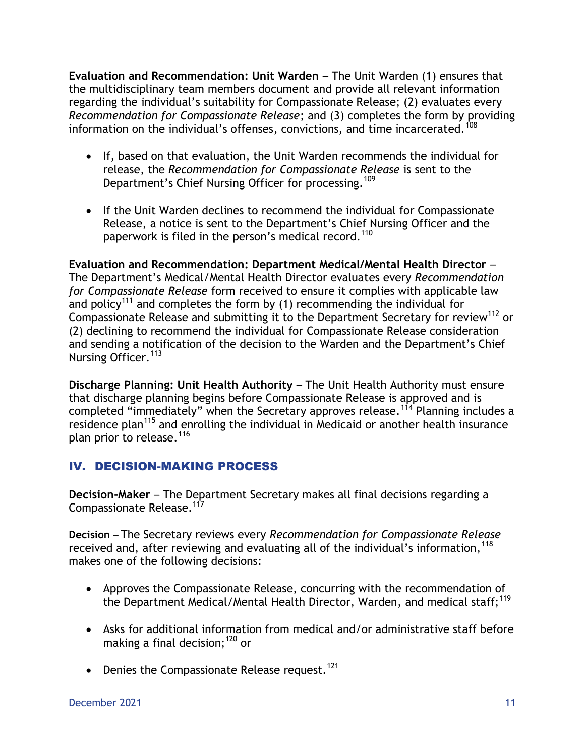**Evaluation and Recommendation: Unit Warden** – The Unit Warden (1) ensures that the multidisciplinary team members document and provide all relevant information regarding the individual's suitability for Compassionate Release; (2) evaluates every *Recommendation for Compassionate Release*; and (3) completes the form by providing information on the individual's offenses, convictions, and time incarcerated.<sup>108</sup>

- If, based on that evaluation, the Unit Warden recommends the individual for release, the *Recommendation for Compassionate Release* is sent to the Department's Chief Nursing Officer for processing.<sup>109</sup>
- If the Unit Warden declines to recommend the individual for Compassionate Release, a notice is sent to the Department's Chief Nursing Officer and the paperwork is filed in the person's medical record.<sup>110</sup>

**Evaluation and Recommendation: Department Medical/Mental Health Director** – The Department's Medical/Mental Health Director evaluates every *Recommendation for Compassionate Release* form received to ensure it complies with applicable law and policy<sup>111</sup> and completes the form by (1) recommending the individual for Compassionate Release and submitting it to the Department Secretary for review<sup>112</sup> or (2) declining to recommend the individual for Compassionate Release consideration and sending a notification of the decision to the Warden and the Department's Chief Nursing Officer.<sup>113</sup>

**Discharge Planning: Unit Health Authority** – The Unit Health Authority must ensure that discharge planning begins before Compassionate Release is approved and is completed "immediately" when the Secretary approves release.<sup>114</sup> Planning includes a residence plan<sup>115</sup> and enrolling the individual in Medicaid or another health insurance plan prior to release.<sup>116</sup>

### IV. DECISION-MAKING PROCESS

**Decision-Maker** – The Department Secretary makes all final decisions regarding a Compassionate Release.<sup>117</sup>

**Decision** – The Secretary reviews every *Recommendation for Compassionate Release* received and, after reviewing and evaluating all of the individual's information,  $^{118}$ makes one of the following decisions:

- Approves the Compassionate Release, concurring with the recommendation of the Department Medical/Mental Health Director, Warden, and medical staff;<sup>119</sup>
- Asks for additional information from medical and/or administrative staff before making a final decision;  $120$  or
- Denies the Compassionate Release request.<sup>121</sup>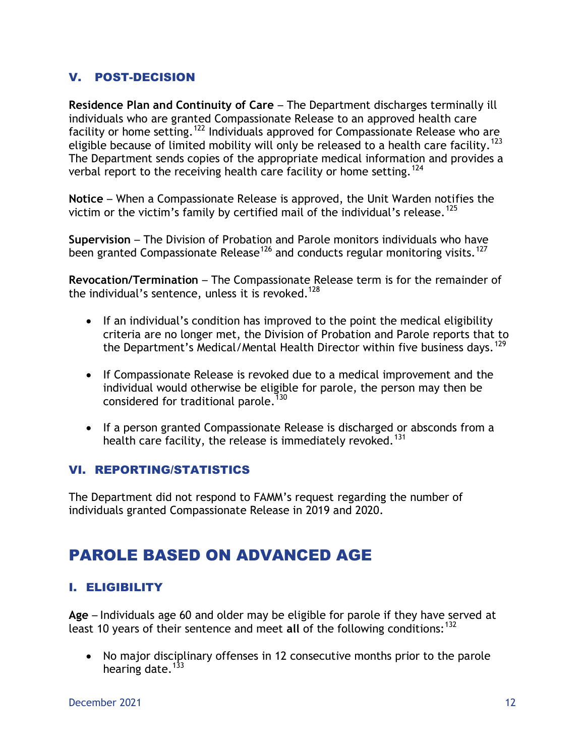#### V. POST-DECISION

**Residence Plan and Continuity of Care** – The Department discharges terminally ill individuals who are granted Compassionate Release to an approved health care facility or home setting.<sup>122</sup> Individuals approved for Compassionate Release who are eligible because of limited mobility will only be released to a health care facility.<sup>123</sup> The Department sends copies of the appropriate medical information and provides a verbal report to the receiving health care facility or home setting.<sup>124</sup>

**Notice** – When a Compassionate Release is approved, the Unit Warden notifies the victim or the victim's family by certified mail of the individual's release.<sup>125</sup>

**Supervision** – The Division of Probation and Parole monitors individuals who have been granted Compassionate Release<sup>126</sup> and conducts regular monitoring visits.<sup>127</sup>

**Revocation/Termination** – The Compassionate Release term is for the remainder of the individual's sentence, unless it is revoked.<sup>128</sup>

- If an individual's condition has improved to the point the medical eligibility criteria are no longer met, the Division of Probation and Parole reports that to the Department's Medical/Mental Health Director within five business days.<sup>129</sup>
- If Compassionate Release is revoked due to a medical improvement and the individual would otherwise be eligible for parole, the person may then be considered for traditional parole.<sup>130</sup>
- If a person granted Compassionate Release is discharged or absconds from a health care facility, the release is immediately revoked.<sup>131</sup>

#### VI. REPORTING/STATISTICS

The Department did not respond to FAMM's request regarding the number of individuals granted Compassionate Release in 2019 and 2020.

# PAROLE BASED ON ADVANCED AGE

### I. ELIGIBILITY

**Age** – Individuals age 60 and older may be eligible for parole if they have served at least 10 years of their sentence and meet all of the following conditions:<sup>132</sup>

• No major disciplinary offenses in 12 consecutive months prior to the parole hearing date. $133$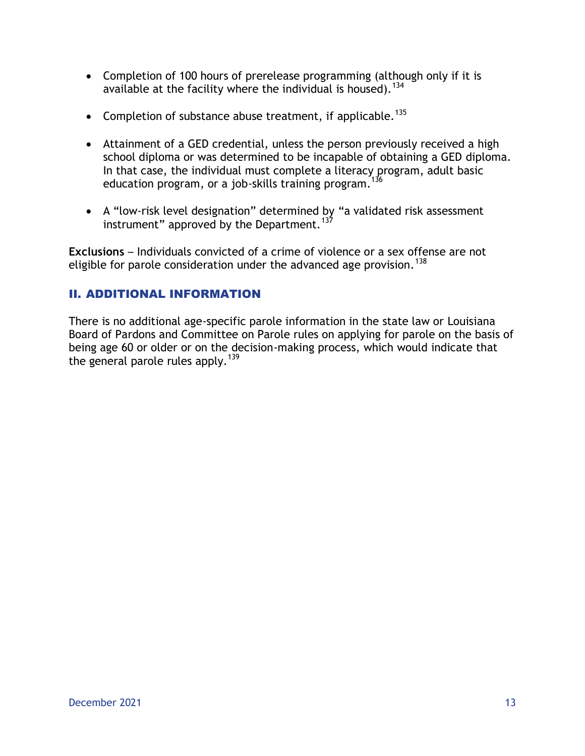- Completion of 100 hours of prerelease programming (although only if it is available at the facility where the individual is housed).  $134$
- Completion of substance abuse treatment, if applicable.<sup>135</sup>
- Attainment of a GED credential, unless the person previously received a high school diploma or was determined to be incapable of obtaining a GED diploma. In that case, the individual must complete a literacy program, adult basic education program, or a job-skills training program.<sup>136</sup>
- A "low-risk level designation" determined by "a validated risk assessment instrument" approved by the Department.<sup>137</sup>

**Exclusions** – Individuals convicted of a crime of violence or a sex offense are not eligible for parole consideration under the advanced age provision.<sup>138</sup>

### II. ADDITIONAL INFORMATION

There is no additional age-specific parole information in the state law or Louisiana Board of Pardons and Committee on Parole rules on applying for parole on the basis of being age 60 or older or on the decision-making process, which would indicate that the general parole rules apply.<sup>139</sup>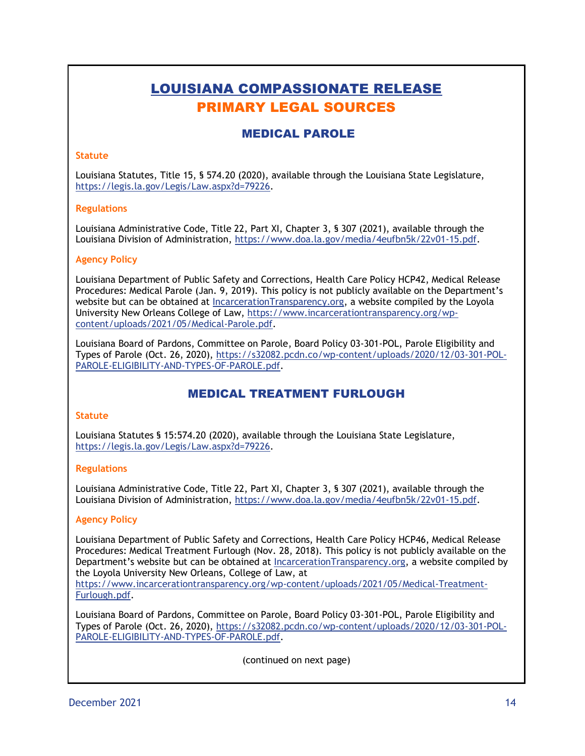# LOUISIANA COMPASSIONATE RELEASE PRIMARY LEGAL SOURCES

#### MEDICAL PAROLE

#### **Statute**

Louisiana Statutes, Title 15, § 574.20 (2020), available through the Louisiana State Legislature, [https://legis.la.gov/Legis/Law.aspx?d=79226.](https://legis.la.gov/Legis/Law.aspx?d=79226)

#### **Regulations**

Louisiana Administrative Code, Title 22, Part XI, Chapter 3, § 307 (2021), available through the Louisiana Division of Administration, [https://www.doa.la.gov/media/4eufbn5k/22v01-15.pdf.](https://www.doa.la.gov/media/4eufbn5k/22v01-15.pdf)

#### **Agency Policy**

Louisiana Department of Public Safety and Corrections, Health Care Policy HCP42, Medical Release Procedures: Medical Parole (Jan. 9, 2019). This policy is not publicly available on the Department's website but can be obtained at IncarcerationTransparency.org, a website compiled by the Loyola University New Orleans College of Law, [https://www.incarcerationtransparency.org/wp](https://www.incarcerationtransparency.org/wp-content/uploads/2021/05/Medical-Parole.pdf)[content/uploads/2021/05/Medical-Parole.pdf.](https://www.incarcerationtransparency.org/wp-content/uploads/2021/05/Medical-Parole.pdf)

Louisiana Board of Pardons, Committee on Parole, Board Policy 03-301-POL, Parole Eligibility and Types of Parole (Oct. 26, 2020), [https://s32082.pcdn.co/wp-content/uploads/2020/12/03-301-POL-](https://s32082.pcdn.co/wp-content/uploads/2020/12/03-301-POL-PAROLE-ELIGIBILITY-AND-TYPES-OF-PAROLE.pdf)[PAROLE-ELIGIBILITY-AND-TYPES-OF-PAROLE.pdf.](https://s32082.pcdn.co/wp-content/uploads/2020/12/03-301-POL-PAROLE-ELIGIBILITY-AND-TYPES-OF-PAROLE.pdf)

#### MEDICAL TREATMENT FURLOUGH

#### **Statute**

Louisiana Statutes § 15:574.20 (2020), available through the Louisiana State Legislature, [https://legis.la.gov/Legis/Law.aspx?d=79226.](https://legis.la.gov/Legis/Law.aspx?d=79226)

#### **Regulations**

Louisiana Administrative Code, Title 22, Part XI, Chapter 3, § 307 (2021), available through the Louisiana Division of Administration, [https://www.doa.la.gov/media/4eufbn5k/22v01-15.pdf.](https://www.doa.la.gov/media/4eufbn5k/22v01-15.pdf)

#### **Agency Policy**

Louisiana Department of Public Safety and Corrections, Health Care Policy HCP46, Medical Release Procedures: Medical Treatment Furlough (Nov. 28, 2018). This policy is not publicly available on the Department's website but can be obtained at IncarcerationTransparency.org, a website compiled by the Loyola University New Orleans, College of Law, at

https://www.incarcerationtransparency.org/wp-content/uploads/2021/05/Medical-Treatment-Furlough.pdf.

Louisiana Board of Pardons, Committee on Parole, Board Policy 03-301-POL, Parole Eligibility and Types of Parole (Oct. 26, 2020), [https://s32082.pcdn.co/wp-content/uploads/2020/12/03-301-POL-](https://s32082.pcdn.co/wp-content/uploads/2020/12/03-301-POL-PAROLE-ELIGIBILITY-AND-TYPES-OF-PAROLE.pdf)[PAROLE-ELIGIBILITY-AND-TYPES-OF-PAROLE.pdf.](https://s32082.pcdn.co/wp-content/uploads/2020/12/03-301-POL-PAROLE-ELIGIBILITY-AND-TYPES-OF-PAROLE.pdf)

(continued on next page)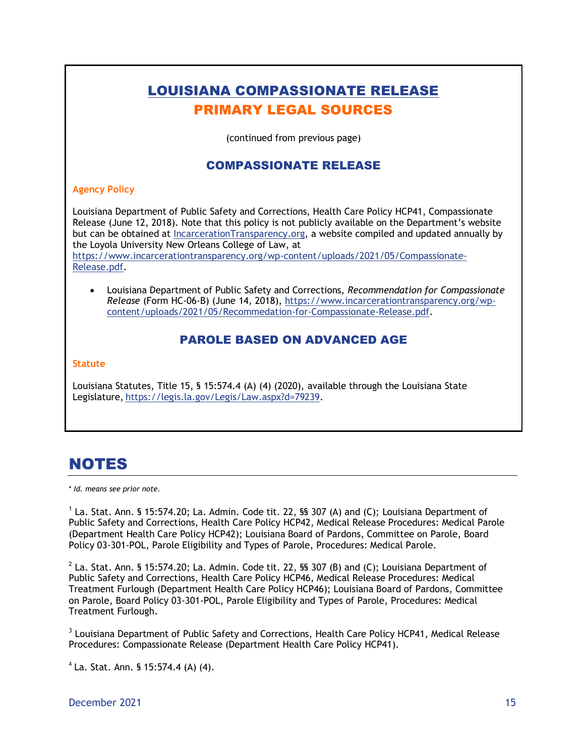# LOUISIANA COMPASSIONATE RELEASE PRIMARY LEGAL SOURCES (continued from previous page) COMPASSIONATE RELEASE **Agency Policy** Louisiana Department of Public Safety and Corrections, Health Care Policy HCP41, Compassionate Release (June 12, 2018). Note that this policy is not publicly available on the Department's website but can be obtained at IncarcerationTransparency.org, a website compiled and updated annually by the Loyola University New Orleans College of Law, at [https://www.incarcerationtransparency.org/wp-content/uploads/2021/05/Compassionate-](https://www.incarcerationtransparency.org/wp-content/uploads/2021/05/Compassionate-Release.pdf)[Release.pdf.](https://www.incarcerationtransparency.org/wp-content/uploads/2021/05/Compassionate-Release.pdf) Louisiana Department of Public Safety and Corrections, *Recommendation for Compassionate Release* (Form HC-06-B) (June 14, 2018), [https://www.incarcerationtransparency.org/wp](https://www.incarcerationtransparency.org/wp-content/uploads/2021/05/Recommedation-for-Compassionate-Release.pdf)[content/uploads/2021/05/Recommedation-for-Compassionate-Release.pdf.](https://www.incarcerationtransparency.org/wp-content/uploads/2021/05/Recommedation-for-Compassionate-Release.pdf) PAROLE BASED ON ADVANCED AGE **Statute**

Louisiana Statutes, Title 15, § 15:574.4 (A) (4) (2020), available through the Louisiana State Legislature, https://legis.la.gov/Legis/Law.aspx?d=79239.

# NOTES

\* *Id. means see prior note.*

 $<sup>1</sup>$  La. Stat. Ann. § 15:574.20; La. Admin. Code tit. 22, §§ 307 (A) and (C); Louisiana Department of</sup> Public Safety and Corrections, Health Care Policy HCP42, Medical Release Procedures: Medical Parole (Department Health Care Policy HCP42); Louisiana Board of Pardons, Committee on Parole, Board Policy 03-301-POL, Parole Eligibility and Types of Parole, Procedures: Medical Parole.

 $^2$  La. Stat. Ann. § 15:574.20; La. Admin. Code tit. 22, §§ 307 (B) and (C); Louisiana Department of Public Safety and Corrections, Health Care Policy HCP46, Medical Release Procedures: Medical Treatment Furlough (Department Health Care Policy HCP46); Louisiana Board of Pardons, Committee on Parole, Board Policy 03-301-POL, Parole Eligibility and Types of Parole, Procedures: Medical Treatment Furlough.

 $3$  Louisiana Department of Public Safety and Corrections, Health Care Policy HCP41, Medical Release Procedures: Compassionate Release (Department Health Care Policy HCP41).

 $4$  La. Stat. Ann. § 15:574.4 (A) (4).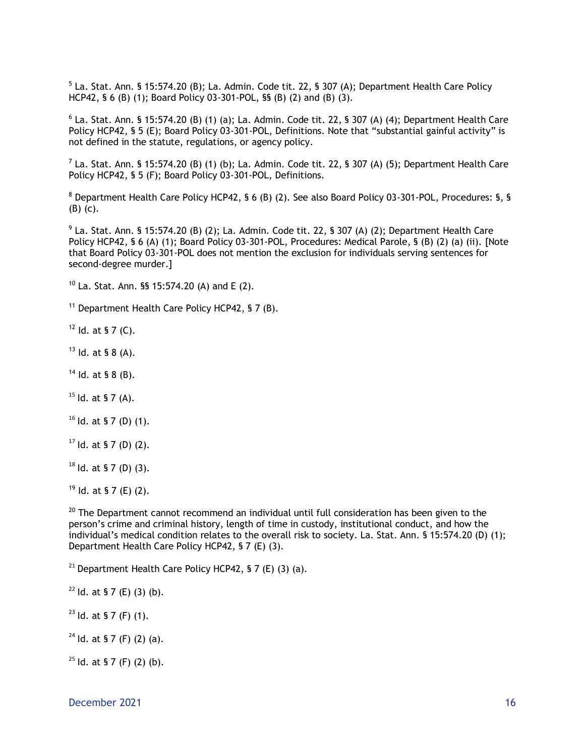$^5$  La. Stat. Ann. § 15:574.20 (B); La. Admin. Code tit. 22, § 307 (A); Department Health Care Policy HCP42, § 6 (B) (1); Board Policy 03-301-POL, §§ (B) (2) and (B) (3).

 $^6$  La. Stat. Ann. § 15:574.20 (B) (1) (a); La. Admin. Code tit. 22, § 307 (A) (4); Department Health Care Policy HCP42, § 5 (E); Board Policy 03-301-POL, Definitions. Note that "substantial gainful activity" is not defined in the statute, regulations, or agency policy.

 $^7$  La. Stat. Ann. § 15:574.20 (B) (1) (b); La. Admin. Code tit. 22, § 307 (A) (5); Department Health Care Policy HCP42, § 5 (F); Board Policy 03-301-POL, Definitions.

<sup>8</sup> Department Health Care Policy HCP42, § 6 (B) (2). See also Board Policy 03-301-POL, Procedures: §, § (B) (c).

 $^{9}$  La. Stat. Ann. § 15:574.20 (B) (2); La. Admin. Code tit. 22, § 307 (A) (2); Department Health Care Policy HCP42, § 6 (A) (1); Board Policy 03-301-POL, Procedures: Medical Parole, § (B) (2) (a) (ii). [Note that Board Policy 03-301-POL does not mention the exclusion for individuals serving sentences for second-degree murder.]

 $10$  La. Stat. Ann. §§ 15:574.20 (A) and E (2).

 $11$  Department Health Care Policy HCP42, § 7 (B).

 $12$  Id. at § 7 (C).

 $13$  Id. at § 8 (A).

 $14$  Id. at § 8 (B).

 $15$  Id. at § 7 (A).

 $16$  Id. at § 7 (D) (1).

 $17$  Id. at § 7 (D) (2).

 $18$  Id. at § 7 (D) (3).

 $19$  Id. at § 7 (E) (2).

 $20$  The Department cannot recommend an individual until full consideration has been given to the person's crime and criminal history, length of time in custody, institutional conduct, and how the individual's medical condition relates to the overall risk to society. La. Stat. Ann. § 15:574.20 (D) (1); Department Health Care Policy HCP42, § 7 (E) (3).

<sup>21</sup> Department Health Care Policy HCP42, § 7 (E) (3) (a).

 $22$  Id. at § 7 (E) (3) (b).

 $23$  ld. at § 7 (F) (1).

 $24$  Id. at § 7 (F) (2) (a).

 $25$  ld. at § 7 (F) (2) (b).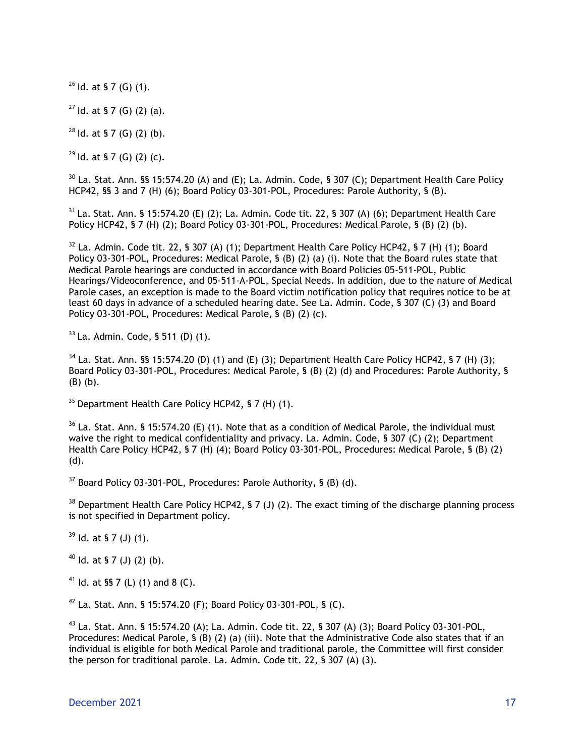$26$  Id. at § 7 (G) (1).

 $27$  ld. at § 7 (G) (2) (a).

 $^{28}$  Id. at § 7 (G) (2) (b).

 $29$  ld. at § 7 (G) (2) (c).

 $30$  La. Stat. Ann. §§ 15:574.20 (A) and (E); La. Admin. Code, § 307 (C); Department Health Care Policy HCP42, §§ 3 and 7 (H) (6); Board Policy 03-301-POL, Procedures: Parole Authority, § (B).

 $31$  La. Stat. Ann. § 15:574.20 (E) (2); La. Admin. Code tit. 22, § 307 (A) (6); Department Health Care Policy HCP42, § 7 (H) (2); Board Policy 03-301-POL, Procedures: Medical Parole, § (B) (2) (b).

 $32$  La. Admin. Code tit. 22, § 307 (A) (1); Department Health Care Policy HCP42, § 7 (H) (1); Board Policy 03-301-POL, Procedures: Medical Parole, § (B) (2) (a) (i). Note that the Board rules state that Medical Parole hearings are conducted in accordance with Board Policies 05-511-POL, Public Hearings/Videoconference, and 05-511-A-POL, Special Needs. In addition, due to the nature of Medical Parole cases, an exception is made to the Board victim notification policy that requires notice to be at least 60 days in advance of a scheduled hearing date. See La. Admin. Code, § 307 (C) (3) and Board Policy 03-301-POL, Procedures: Medical Parole, § (B) (2) (c).

 $33$  La. Admin. Code, § 511 (D) (1).

 $34$  La. Stat. Ann. §§ 15:574.20 (D) (1) and (E) (3); Department Health Care Policy HCP42, § 7 (H) (3); Board Policy 03-301-POL, Procedures: Medical Parole, § (B) (2) (d) and Procedures: Parole Authority, § (B) (b).

 $35$  Department Health Care Policy HCP42, § 7 (H) (1).

 $36$  La. Stat. Ann. § 15:574.20 (E) (1). Note that as a condition of Medical Parole, the individual must waive the right to medical confidentiality and privacy. La. Admin. Code, § 307 (C) (2); Department Health Care Policy HCP42, § 7 (H) (4); Board Policy 03-301-POL, Procedures: Medical Parole, § (B) (2) (d).

 $37$  Board Policy 03-301-POL, Procedures: Parole Authority, § (B) (d).

<sup>38</sup> Department Health Care Policy HCP42, § 7 (J) (2). The exact timing of the discharge planning process is not specified in Department policy.

 $39$  Id. at § 7 (J) (1).

 $40$  Id. at § 7 (J) (2) (b).

<sup>41</sup> Id. at §§ 7 (L) (1) and 8 (C).

 $42$  La. Stat. Ann. § 15:574.20 (F); Board Policy 03-301-POL, § (C).

<sup>43</sup> La. Stat. Ann. § 15:574.20 (A); La. Admin. Code tit. 22, § 307 (A) (3); Board Policy 03-301-POL, Procedures: Medical Parole, § (B) (2) (a) (iii). Note that the Administrative Code also states that if an individual is eligible for both Medical Parole and traditional parole, the Committee will first consider the person for traditional parole. La. Admin. Code tit. 22, § 307 (A) (3).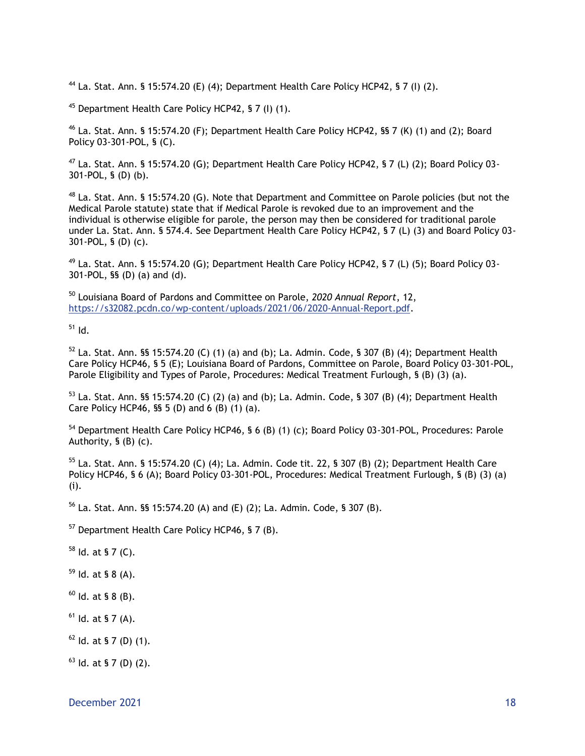<sup>44</sup> La. Stat. Ann. § 15:574.20 (E) (4); Department Health Care Policy HCP42, § 7 (I) (2).

<sup>45</sup> Department Health Care Policy HCP42, § 7 (I) (1).

 $46$  La. Stat. Ann. § 15:574.20 (F); Department Health Care Policy HCP42, §§ 7 (K) (1) and (2); Board Policy 03-301-POL, § (C).

<sup>47</sup> La. Stat. Ann. § 15:574.20 (G); Department Health Care Policy HCP42, § 7 (L) (2); Board Policy 03- 301-POL, § (D) (b).

 $48$  La. Stat. Ann. § 15:574.20 (G). Note that Department and Committee on Parole policies (but not the Medical Parole statute) state that if Medical Parole is revoked due to an improvement and the individual is otherwise eligible for parole, the person may then be considered for traditional parole under La. Stat. Ann. § 574.4. See Department Health Care Policy HCP42, § 7 (L) (3) and Board Policy 03- 301-POL, § (D) (c).

 $49$  La. Stat. Ann. § 15:574.20 (G); Department Health Care Policy HCP42, § 7 (L) (5); Board Policy 03-301-POL, §§ (D) (a) and (d).

<sup>50</sup> Louisiana Board of Pardons and Committee on Parole, *2020 Annual Report*, 12, https://s32082.pcdn.co/wp-content/uploads/2021/06/2020-Annual-Report.pdf.

 $51$  Id.

 $52$  La. Stat. Ann. §§ 15:574.20 (C) (1) (a) and (b); La. Admin. Code, § 307 (B) (4); Department Health Care Policy HCP46, § 5 (E); Louisiana Board of Pardons, Committee on Parole, Board Policy 03-301-POL, Parole Eligibility and Types of Parole, Procedures: Medical Treatment Furlough, § (B) (3) (a).

 $53$  La. Stat. Ann. §§ 15:574.20 (C) (2) (a) and (b); La. Admin. Code, § 307 (B) (4); Department Health Care Policy HCP46, §§ 5 (D) and 6 (B) (1) (a).

<sup>54</sup> Department Health Care Policy HCP46, § 6 (B) (1) (c); Board Policy 03-301-POL, Procedures: Parole Authority, § (B) (c).

<sup>55</sup> La. Stat. Ann. § 15:574.20 (C) (4); La. Admin. Code tit. 22, § 307 (B) (2); Department Health Care Policy HCP46, § 6 (A); Board Policy 03-301-POL, Procedures: Medical Treatment Furlough, § (B) (3) (a) (i).

<sup>56</sup> La. Stat. Ann. §§ 15:574.20 (A) and (E) (2); La. Admin. Code, § 307 (B).

<sup>57</sup> Department Health Care Policy HCP46, § 7 (B).

 $58$  Id. at § 7 (C).

 $59$  Id. at § 8 (A).

 $60$  Id. at § 8 (B).

 $61$  Id. at § 7 (A).

 $62$  Id. at § 7 (D) (1).

 $63$  Id. at § 7 (D) (2).

December 2021 and the state of the state of the state of the state of the state of the state of the state of the state of the state of the state of the state of the state of the state of the state of the state of the state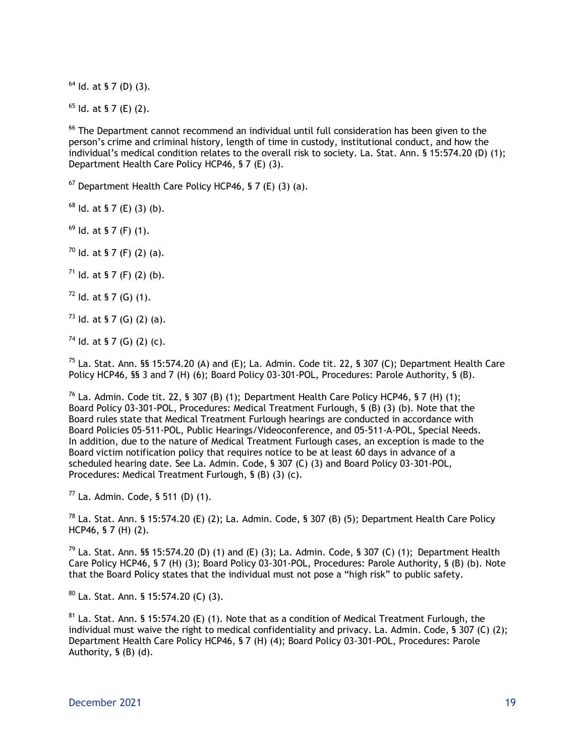$64$  Id. at § 7 (D) (3).

 $<sup>65</sup>$  ld. at § 7 (E) (2).</sup>

<sup>66</sup> The Department cannot recommend an individual until full consideration has been given to the person's crime and criminal history, length of time in custody, institutional conduct, and how the individual's medical condition relates to the overall risk to society. La. Stat. Ann. § 15:574.20 (D) (1); Department Health Care Policy HCP46, § 7 (E) (3).

 $67$  Department Health Care Policy HCP46, § 7 (E) (3) (a).

 $68$  Id. at § 7 (E) (3) (b).

 $69$  Id. at § 7 (F) (1).

 $70$  Id. at § 7 (F) (2) (a).

 $71$  Id. at § 7 (F) (2) (b).

 $72$  Id. at § 7 (G) (1).

 $73$  ld. at § 7 (G) (2) (a).

 $74$  Id. at § 7 (G) (2) (c).

 $^{75}$  La. Stat. Ann. §§ 15:574.20 (A) and (E); La. Admin. Code tit. 22, § 307 (C); Department Health Care Policy HCP46, §§ 3 and 7 (H) (6); Board Policy 03-301-POL, Procedures: Parole Authority, § (B).

 $^{76}$  La. Admin. Code tit. 22, § 307 (B) (1); Department Health Care Policy HCP46, § 7 (H) (1); Board Policy 03-301-POL, Procedures: Medical Treatment Furlough, § (B) (3) (b). Note that the Board rules state that Medical Treatment Furlough hearings are conducted in accordance with Board Policies 05-511-POL, Public Hearings/Videoconference, and 05-511-A-POL, Special Needs. In addition, due to the nature of Medical Treatment Furlough cases, an exception is made to the Board victim notification policy that requires notice to be at least 60 days in advance of a scheduled hearing date. See La. Admin. Code, § 307 (C) (3) and Board Policy 03-301-POL, Procedures: Medical Treatment Furlough, § (B) (3) (c).

 $77$  La. Admin. Code, § 511 (D) (1).

 $^{78}$  La. Stat. Ann. § 15:574.20 (E) (2); La. Admin. Code, § 307 (B) (5); Department Health Care Policy HCP46, § 7 (H) (2).

<sup>79</sup> La. Stat. Ann. §§ 15:574.20 (D) (1) and (E) (3); La. Admin. Code, § 307 (C) (1); Department Health Care Policy HCP46, § 7 (H) (3); Board Policy 03-301-POL, Procedures: Parole Authority, § (B) (b). Note that the Board Policy states that the individual must not pose a "high risk" to public safety.

 $80$  La. Stat. Ann. § 15:574.20 (C) (3).

 $81$  La. Stat. Ann. § 15:574.20 (E) (1). Note that as a condition of Medical Treatment Furlough, the individual must waive the right to medical confidentiality and privacy. La. Admin. Code, § 307 (C) (2); Department Health Care Policy HCP46, § 7 (H) (4); Board Policy 03-301-POL, Procedures: Parole Authority, § (B) (d).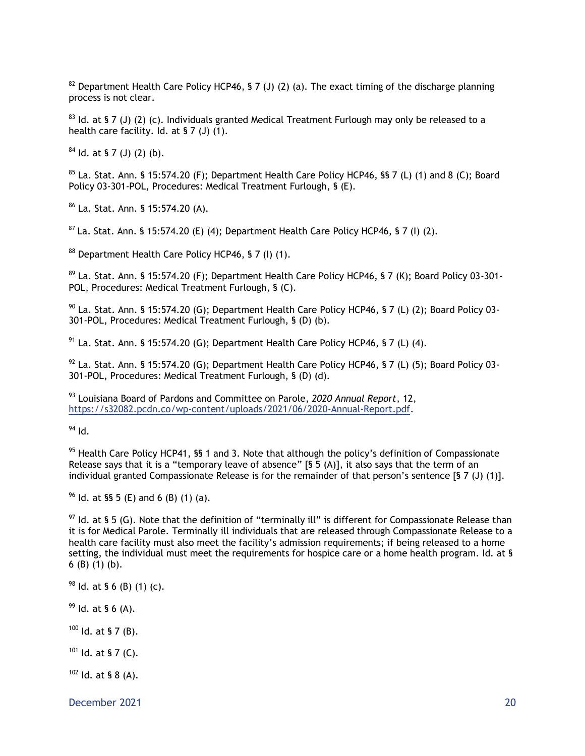<sup>82</sup> Department Health Care Policy HCP46, § 7 (J) (2) (a). The exact timing of the discharge planning process is not clear.

 $83$  Id. at § 7 (J) (2) (c). Individuals granted Medical Treatment Furlough may only be released to a health care facility. Id. at § 7 (J) (1).

 $84$  Id. at § 7 (J) (2) (b).

 $85$  La. Stat. Ann. § 15:574.20 (F); Department Health Care Policy HCP46, §§ 7 (L) (1) and 8 (C); Board Policy 03-301-POL, Procedures: Medical Treatment Furlough, § (E).

<sup>86</sup> La. Stat. Ann. § 15:574.20 (A).

 $87$  La. Stat. Ann. § 15:574.20 (E) (4); Department Health Care Policy HCP46, § 7 (I) (2).

88 Department Health Care Policy HCP46, § 7 (I) (1).

<sup>89</sup> La. Stat. Ann. § 15:574.20 (F); Department Health Care Policy HCP46, § 7 (K); Board Policy 03-301-POL, Procedures: Medical Treatment Furlough, § (C).

 $90$  La. Stat. Ann. § 15:574.20 (G); Department Health Care Policy HCP46, § 7 (L) (2); Board Policy 03-301-POL, Procedures: Medical Treatment Furlough, § (D) (b).

 $91$  La. Stat. Ann. § 15:574.20 (G); Department Health Care Policy HCP46, § 7 (L) (4).

 $92$  La. Stat. Ann. § 15:574.20 (G); Department Health Care Policy HCP46, § 7 (L) (5); Board Policy 03-301-POL, Procedures: Medical Treatment Furlough, § (D) (d).

<sup>93</sup> Louisiana Board of Pardons and Committee on Parole, *2020 Annual Report*, 12, https://s32082.pcdn.co/wp-content/uploads/2021/06/2020-Annual-Report.pdf.

 $94$  Id.

 $95$  Health Care Policy HCP41, SS 1 and 3. Note that although the policy's definition of Compassionate Release says that it is a "temporary leave of absence" [§  $\bar{5}$  (A)], it also says that the term of an individual granted Compassionate Release is for the remainder of that person's sentence [§ 7 (J) (1)].

 $96$  Id. at §§ 5 (E) and 6 (B) (1) (a).

 $97$  ld. at § 5 (G). Note that the definition of "terminally ill" is different for Compassionate Release than it is for Medical Parole. Terminally ill individuals that are released through Compassionate Release to a health care facility must also meet the facility's admission requirements; if being released to a home setting, the individual must meet the requirements for hospice care or a home health program. Id. at § 6 (B) (1) (b).

 $98$  Id. at § 6 (B) (1) (c).

 $99$  Id. at § 6 (A).

 $100$  Id. at § 7 (B).

 $101$  Id. at § 7 (C).

 $102$  Id. at § 8 (A).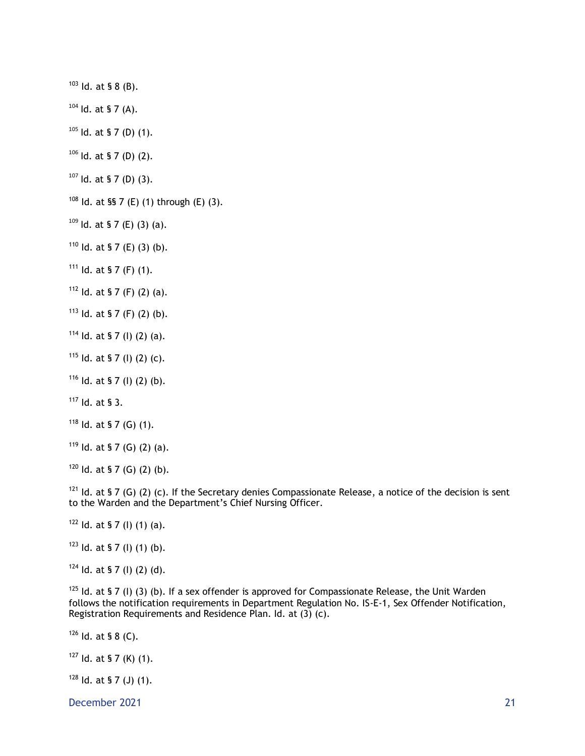Id. at § 8 (B).

Id. at § 7 (A).

Id. at § 7 (D) (1).

Id. at § 7 (D) (2).

Id. at § 7 (D) (3).

Id. at §§ 7 (E) (1) through (E) (3).

ld. at § 7 (E) (3) (a).

Id. at § 7 (E) (3) (b).

Id. at § 7 (F) (1).

Id. at § 7 (F) (2) (a).

ld. at § 7 (F) (2) (b).

Id. at § 7 (I) (2) (a).

ld. at § 7 (l) (2) (c).

Id. at § 7 (I) (2) (b).

Id. at § 3.

Id. at § 7 (G) (1).

ld. at § 7 (G) (2) (a).

ld. at § 7 (G) (2) (b).

<sup>121</sup> Id. at § 7 (G) (2) (c). If the Secretary denies Compassionate Release, a notice of the decision is sent to the Warden and the Department's Chief Nursing Officer.

Id. at § 7 (I) (1) (a).

ld. at § 7 (l) (1) (b).

Id. at § 7 (I) (2) (d).

 Id. at § 7 (I) (3) (b). If a sex offender is approved for Compassionate Release, the Unit Warden follows the notification requirements in Department Regulation No. IS-E-1, Sex Offender Notification, Registration Requirements and Residence Plan. Id. at (3) (c).

Id. at § 8 (C).

Id. at § 7 (K) (1).

Id. at § 7 (J) (1).

December 2021 21 and 2021